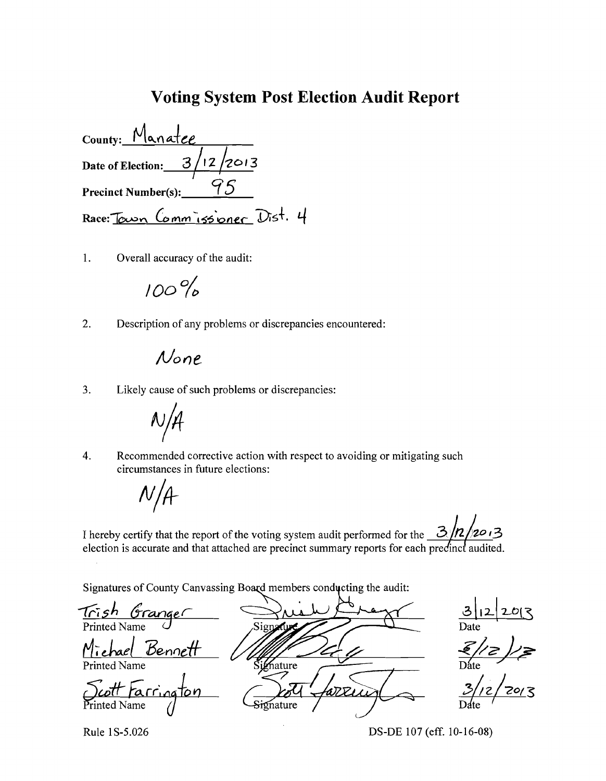## **Voting System Post Election Audit Report**

County: Manatee Date of Election:  $\frac{3}{12}$ /2013 95 **Precinct Number(s):** Race: Town Comm issioner Dist. 4

 $\overline{1}$ . Overall accuracy of the audit:

# $100%$

 $2.$ Description of any problems or discrepancies encountered:

# None

 $3.$ Likely cause of such problems or discrepancies:



Recommended corrective action with respect to avoiding or mitigating such  $4.$ circumstances in future elections:

 $N/A$ 

| I hereby certify that the report of the voting system audit performed for the $\frac{3}{2}$ /2/2013 |  |  |
|-----------------------------------------------------------------------------------------------------|--|--|
| election is accurate and that attached are precinct summary reports for each predinct audited.      |  |  |

Signatures of County Canvassing Board members conducting the audit:

 $\frac{3|12|20|3}{\text{Date}}$ <br> $\frac{2}{\text{Date}}$ <u>Trish Granger</u> Signature Michael Bennett Printed Name Signature <u>arrington</u> ≀ קד Signature

Rule 1S-5.026

DS-DE 107 (eff. 10-16-08)

 $1/$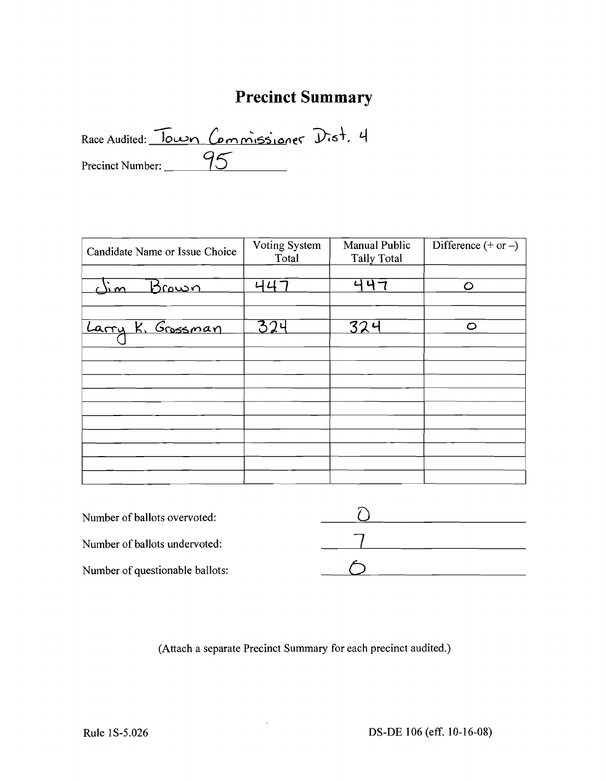# **Precinct Summary**

Race Audited: Town Commissioner Dist. 4 Precinct Number: \_\_\_\_\_\_95

| Candidate Name or Issue Choice | Voting System<br>Total | Manual Public<br><b>Tally Total</b> | Difference $(+ or -)$ |  |
|--------------------------------|------------------------|-------------------------------------|-----------------------|--|
| $\sum w$<br><u>Brown</u>       | 니니                     | いりつ                                 | $\circ$               |  |
| Larry K. Grossman              | 324                    | 324                                 | O                     |  |
|                                |                        |                                     |                       |  |
|                                |                        |                                     |                       |  |
|                                |                        |                                     |                       |  |
|                                |                        |                                     |                       |  |

| Number of ballots overvoted:    |  |
|---------------------------------|--|
| Number of ballots undervoted:   |  |
| Number of questionable ballots: |  |

(Attach a separate Precinct Summary for each precinct audited.)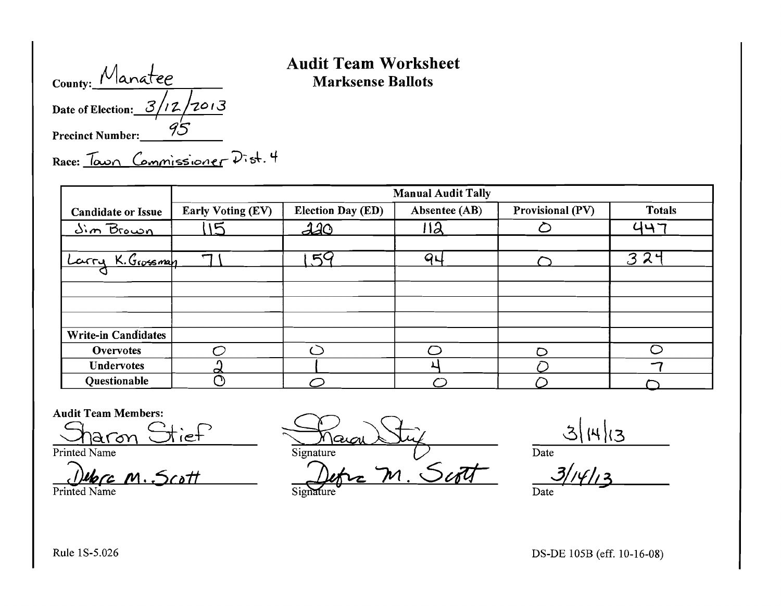| County: Manatee               |  |
|-------------------------------|--|
| Date of Election: $3/12/2013$ |  |
| <b>Precinct Number:</b>       |  |

### Audit Team Worksheet **Marksense Ballots**

Race: Town Commissioner Dist. 4

|                            | <b>Manual Audit Tally</b> |                          |               |                  |               |  |
|----------------------------|---------------------------|--------------------------|---------------|------------------|---------------|--|
| <b>Candidate or Issue</b>  | <b>Early Voting (EV)</b>  | <b>Election Day (ED)</b> | Absentee (AB) | Provisional (PV) | <b>Totals</b> |  |
| <u>Sim Brown</u>           | $\sqrt{2}$                | <u> 110</u>              | 12            |                  | 447           |  |
|                            |                           |                          |               |                  |               |  |
| Larry K. Grossman          | $\mathbf \tau$            | 54                       | $Q \cup$      |                  | 324           |  |
|                            |                           |                          |               |                  |               |  |
|                            |                           |                          |               |                  |               |  |
|                            |                           |                          |               |                  |               |  |
|                            |                           |                          |               |                  |               |  |
| <b>Write-in Candidates</b> |                           |                          |               |                  |               |  |
| <b>Overvotes</b>           |                           |                          |               |                  |               |  |
| <b>Undervotes</b>          | ∝                         |                          |               |                  |               |  |
| Questionable               | $\subset$                 |                          |               |                  |               |  |

#### Audit Team Members:

*M·/5c41t* Si~ /vl. 0dfL 3/;V/I~ Printed Name Date ......

Audit Team Members:<br> $\frac{\text{Audit Team Members:}}{\text{Printed Name}}$   $\frac{\text{Auc}}{\text{Disqu}}$   $\frac{\text{Auc}}{\text{Disqu}}$   $\frac{\text{Auc}}{\text{Date}}$   $\frac{\text{Buc}}{\text{Date}}$ 

Rule 1S-5.026 DS-DE 105B (eff. 10-16-08)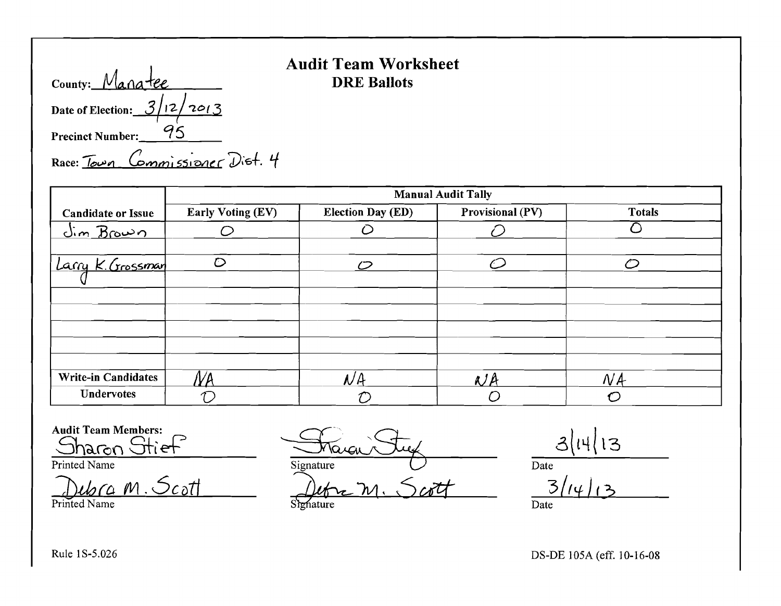| County: Manatee               |  |
|-------------------------------|--|
| Date of Election: $3/12/2013$ |  |
| <b>Precinct Number:</b>       |  |

# **Audit Team Worksheet DRE Ballots**

Race: Town Commissioner Dist. 4

|                            | <b>Manual Audit Tally</b> |                          |                   |               |  |  |  |
|----------------------------|---------------------------|--------------------------|-------------------|---------------|--|--|--|
| <b>Candidate or Issue</b>  | <b>Early Voting (EV)</b>  | <b>Election Day (ED)</b> | Provisional (PV)  | <b>Totals</b> |  |  |  |
| <u> dim Brown</u>          |                           |                          |                   |               |  |  |  |
| Larry K. Grossman          | $\circ$                   | $\mathcal{D}$            | $\curvearrowleft$ | $\mathcal{C}$ |  |  |  |
|                            |                           |                          |                   |               |  |  |  |
|                            |                           |                          |                   |               |  |  |  |
|                            |                           |                          |                   |               |  |  |  |
| <b>Write-in Candidates</b> |                           | $\mathcal{N}A$           | $N$ A             | NA            |  |  |  |
| <b>Undervotes</b>          |                           |                          |                   |               |  |  |  |

**Audit Team Members:** 

Stief naron

Printed Name

 $\omega$ ra m. Scott Printed Name

Tarai Signature

Scott Signature

 $3|14|13$ 

 $\overline{Date}$ 

 $\overline{3}$  $\overline{\text{Date}}$ 

Rule 1S-5.026

DS-DE 105A (eff. 10-16-08